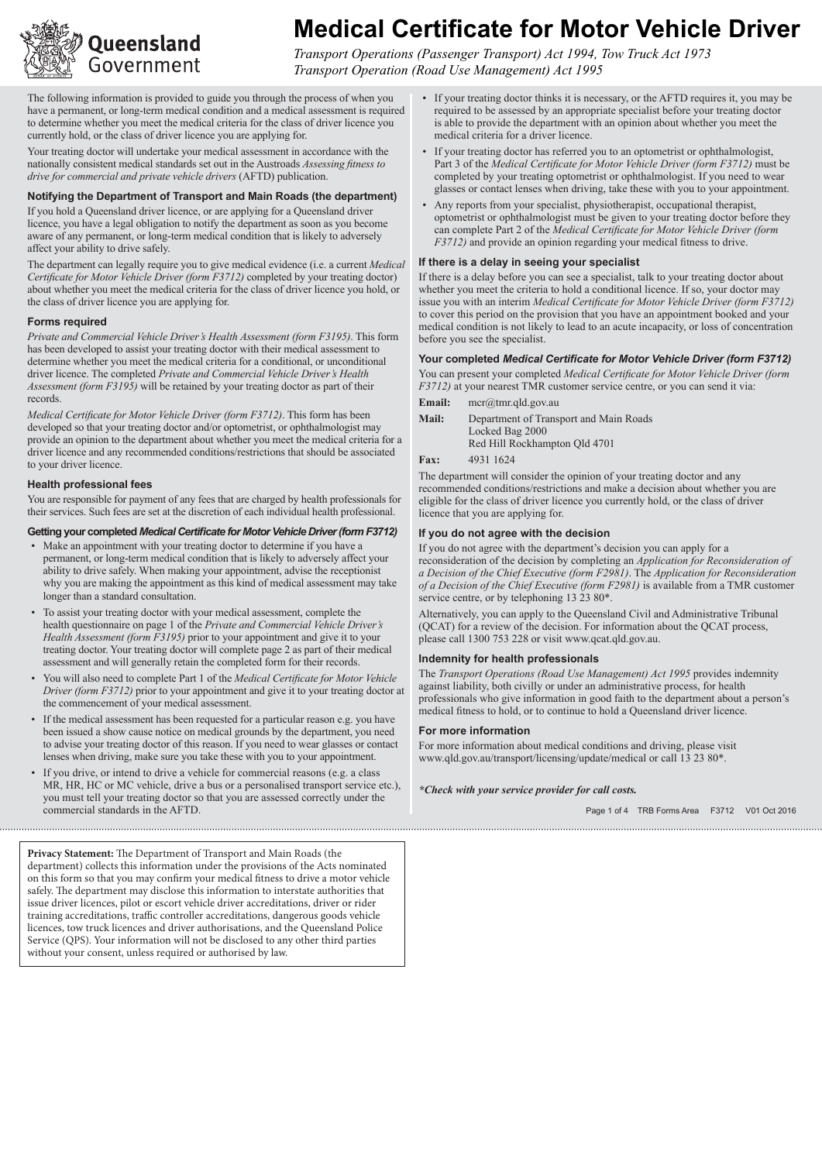

# **Medical Certificate for Motor Vehicle Driver**

*Transport Operations (Passenger Transport) Act 1994, Tow Truck Act 1973 Transport Operation (Road Use Management) Act 1995*

The following information is provided to guide you through the process of when you have a permanent, or long-term medical condition and a medical assessment is required to determine whether you meet the medical criteria for the class of driver licence you currently hold, or the class of driver licence you are applying for.

Your treating doctor will undertake your medical assessment in accordance with the nationally consistent medical standards set out in the Austroads *Assessing fitness to drive for commercial and private vehicle drivers* (AFTD) publication.

#### **Notifying the Department of Transport and Main Roads (the department)**

If you hold a Queensland driver licence, or are applying for a Queensland driver licence, you have a legal obligation to notify the department as soon as you become aware of any permanent, or long-term medical condition that is likely to adversely affect your ability to drive safely.

The department can legally require you to give medical evidence (i.e. a current *Medical Certificate for Motor Vehicle Driver (form F3712)* completed by your treating doctor) about whether you meet the medical criteria for the class of driver licence you hold, or the class of driver licence you are applying for.

#### **Forms required**

*Private and Commercial Vehicle Driver's Health Assessment (form F3195)*. This form has been developed to assist your treating doctor with their medical assessment to determine whether you meet the medical criteria for a conditional, or unconditional driver licence. The completed *Private and Commercial Vehicle Driver's Health Assessment (form F3195)* will be retained by your treating doctor as part of their records.

*Medical Certificate for Motor Vehicle Driver (form F3712)*. This form has been developed so that your treating doctor and/or optometrist, or ophthalmologist may provide an opinion to the department about whether you meet the medical criteria for a driver licence and any recommended conditions/restrictions that should be associated to your driver licence.

#### **Health professional fees**

You are responsible for payment of any fees that are charged by health professionals for their services. Such fees are set at the discretion of each individual health professional.

#### **Getting your completed** *Medical Certificate for Motor Vehicle Driver (form F3712)*

- Make an appointment with your treating doctor to determine if you have a permanent, or long-term medical condition that is likely to adversely affect your ability to drive safely. When making your appointment, advise the receptionist why you are making the appointment as this kind of medical assessment may take longer than a standard consultation.
- • To assist your treating doctor with your medical assessment, complete the health questionnaire on page 1 of the *Private and Commercial Vehicle Driver's Health Assessment (form F3195)* prior to your appointment and give it to your treating doctor. Your treating doctor will complete page 2 as part of their medical assessment and will generally retain the completed form for their records.
- • You will also need to complete Part 1 of the *Medical Certificate for Motor Vehicle Driver (form F3712)* prior to your appointment and give it to your treating doctor at the commencement of your medical assessment.
- • If the medical assessment has been requested for a particular reason e.g. you have been issued a show cause notice on medical grounds by the department, you need to advise your treating doctor of this reason. If you need to wear glasses or contact lenses when driving, make sure you take these with you to your appointment.
- If you drive, or intend to drive a vehicle for commercial reasons (e.g. a class MR, HR, HC or MC vehicle, drive a bus or a personalised transport service etc.), you must tell your treating doctor so that you are assessed correctly under the commercial standards in the AFTD.

**Privacy Statement:** The Department of Transport and Main Roads (the department) collects this information under the provisions of the Acts nominated on this form so that you may confirm your medical fitness to drive a motor vehicle safely. The department may disclose this information to interstate authorities that issue driver licences, pilot or escort vehicle driver accreditations, driver or rider training accreditations, traffic controller accreditations, dangerous goods vehicle licences, tow truck licences and driver authorisations, and the Queensland Police Service (QPS). Your information will not be disclosed to any other third parties without your consent, unless required or authorised by law.

- If your treating doctor thinks it is necessary, or the AFTD requires it, you may be required to be assessed by an appropriate specialist before your treating doctor is able to provide the department with an opinion about whether you meet the medical criteria for a driver licence.
- If your treating doctor has referred you to an optometrist or ophthalmologist, Part 3 of the *Medical Certificate for Motor Vehicle Driver (form F3712)* must be completed by your treating optometrist or ophthalmologist. If you need to wear glasses or contact lenses when driving, take these with you to your appointment.
- Any reports from your specialist, physiotherapist, occupational therapist, optometrist or ophthalmologist must be given to your treating doctor before they can complete Part 2 of the *Medical Certificate for Motor Vehicle Driver (form F3712)* and provide an opinion regarding your medical fitness to drive.

#### **If there is a delay in seeing your specialist**

If there is a delay before you can see a specialist, talk to your treating doctor about whether you meet the criteria to hold a conditional licence. If so, your doctor may issue you with an interim *Medical Certificate for Motor Vehicle Driver (form F3712)*  to cover this period on the provision that you have an appointment booked and your medical condition is not likely to lead to an acute incapacity, or loss of concentration before you see the specialist.

#### **Your completed** *Medical Certificate for Motor Vehicle Driver (form F3712)*

You can present your completed *Medical Certificate for Motor Vehicle Driver (form F3712)* at your nearest TMR customer service centre, or you can send it via:

- **Email:** mcr@tmr.qld.gov.au **Mail:** Department of Transport and Main Roads Locked Bag 2000 Red Hill Rockhampton Qld 4701
- **Fax:** 4931 1624

The department will consider the opinion of your treating doctor and any recommended conditions/restrictions and make a decision about whether you are eligible for the class of driver licence you currently hold, or the class of driver licence that you are applying for.

#### **If you do not agree with the decision**

If you do not agree with the department's decision you can apply for a reconsideration of the decision by completing an *Application for Reconsideration of a Decision of the Chief Executive (form F2981)*. The *Application for Reconsideration of a Decision of the Chief Executive (form F2981)* is available from a TMR customer service centre, or by telephoning 13 23 80\*

Alternatively, you can apply to the Queensland Civil and Administrative Tribunal (QCAT) for a review of the decision. For information about the QCAT process, please call 1300 753 228 or visit www.qcat.qld.gov.au.

#### **Indemnity for health professionals**

The *Transport Operations (Road Use Management) Act 1995* provides indemnity against liability, both civilly or under an administrative process, for health professionals who give information in good faith to the department about a person's medical fitness to hold, or to continue to hold a Queensland driver licence.

#### **For more information**

For more information about medical conditions and driving, please visit www.qld.gov.au/transport/licensing/update/medical or call 13 23 80\*.

*\*Check with your service provider for call costs.*

Page 1 of 4 TRB Forms Area F3712 V01 Oct 2016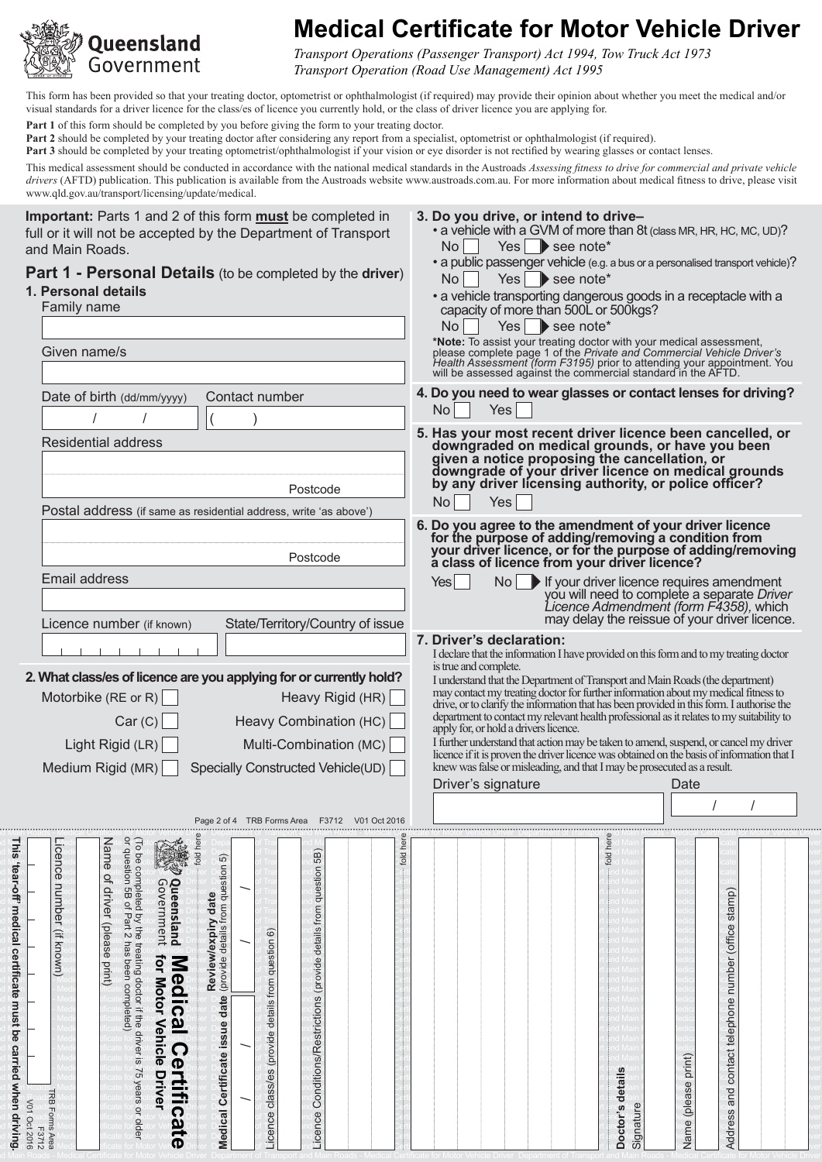

# **Medical Certificate for Motor Vehicle Driver**

*Transport Operations (Passenger Transport) Act 1994, Tow Truck Act 1973 Transport Operation (Road Use Management) Act 1995*

**3. Do you drive, or intend to drive–**

 $No \frown$  Yes  $\blacktriangleright$  see note\*

 $No \t\Gamma$  Yes see note\*

• a vehicle with a GVM of more than 8t (class MR, HR, HC, MC, UD)?

• a public passenger vehicle (e.g. a bus or a personalised transport vehicle)?

• a vehicle transporting dangerous goods in a receptacle with a

This form has been provided so that your treating doctor, optometrist or ophthalmologist (if required) may provide their opinion about whether you meet the medical and/or visual standards for a driver licence for the class/es of licence you currently hold, or the class of driver licence you are applying for.

**Part 1** of this form should be completed by you before giving the form to your treating doctor.

**Part 2** should be completed by your treating doctor after considering any report from a specialist, optometrist or ophthalmologist (if required).

Part 3 should be completed by your treating optometrist/ophthalmologist if your vision or eye disorder is not rectified by wearing glasses or contact lenses.

This medical assessment should be conducted in accordance with the national medical standards in the Austroads *Assessing fitness to drive for commercial and private vehicle drivers* (AFTD) publication. This publication is available from the Austroads website www.austroads.com.au. For more information about medical fitness to drive, please visit www.qld.gov.au/transport/licensing/update/medical.

**Important:** Parts 1 and 2 of this form **must** be completed in full or it will not be accepted by the Department of Transport and Main Roads.

### **Part 1 - Personal Details** (to be completed by the **driver**)

### **1. Personal details**

| Family name                                                                                                                        |                                                                                                                                             | capacity of more than 500L or 500kgs?<br>Yes $\Box$ see note*<br>No                                                                                                                                                                                                                                                                                                                                                                                                                                                                                                                                                  |
|------------------------------------------------------------------------------------------------------------------------------------|---------------------------------------------------------------------------------------------------------------------------------------------|----------------------------------------------------------------------------------------------------------------------------------------------------------------------------------------------------------------------------------------------------------------------------------------------------------------------------------------------------------------------------------------------------------------------------------------------------------------------------------------------------------------------------------------------------------------------------------------------------------------------|
| Given name/s                                                                                                                       |                                                                                                                                             | *Note: To assist your treating doctor with your medical assessment, please complete page 1 of the Private and Commercial Vehicle Driver's<br>Health Assessment (form F3195) prior to attending your appointment. You will be assessed against the commercial standard in the AFTD.                                                                                                                                                                                                                                                                                                                                   |
| Date of birth (dd/mm/yyyy)                                                                                                         | Contact number                                                                                                                              | 4. Do you need to wear glasses or contact lenses for driving?<br>Yes<br><b>No</b>                                                                                                                                                                                                                                                                                                                                                                                                                                                                                                                                    |
| <b>Residential address</b>                                                                                                         |                                                                                                                                             | 5. Has your most recent driver licence been cancelled, or                                                                                                                                                                                                                                                                                                                                                                                                                                                                                                                                                            |
|                                                                                                                                    | Postcode<br>Postal address (if same as residential address, write 'as above')                                                               | downgraded on medical grounds, or have you been<br>given a notice proposing the cancellation, or<br>downgrade of your driver licence on medical grounds<br>by any driver licensing authority, or police officer?<br>Yes<br><b>No</b>                                                                                                                                                                                                                                                                                                                                                                                 |
|                                                                                                                                    | Postcode                                                                                                                                    | 6. Do you agree to the amendment of your driver licence<br>for the purpose of adding/removing a condition from<br>your driver licence, or for the purpose of adding/removing<br>a class of licence from your driver licence?                                                                                                                                                                                                                                                                                                                                                                                         |
| Email address                                                                                                                      |                                                                                                                                             | No If your driver licence requires amendment<br>Yes<br>you will need to complete a separate Driver<br>Licence Admendment (form F4358), which                                                                                                                                                                                                                                                                                                                                                                                                                                                                         |
| Licence number (if known)                                                                                                          | State/Territory/Country of issue                                                                                                            | may delay the reissue of your driver licence.<br>7. Driver's declaration:<br>I declare that the information I have provided on this form and to my treating doctor                                                                                                                                                                                                                                                                                                                                                                                                                                                   |
| Motorbike (RE or R) $\vert$<br>Car(C)<br>Light Rigid $(LR)$<br>Medium Rigid (MR)                                                   | 2. What class/es of licence are you applying for or currently hold?<br>Heavy Rigid (HR)<br>Heavy Combination (HC)<br>Multi-Combination (MC) | is true and complete.<br>I understand that the Department of Transport and Main Roads (the department)<br>may contact my treating doctor for further information about my medical fitness to<br>drive, or to clarify the information that has been provided in this form. I authorise the<br>department to contact my relevant health professional as it relates to my suitability to<br>apply for, or hold a drivers licence.<br>I further understand that action may be taken to amend, suspend, or cancel my driver<br>licence if it is proven the driver licence was obtained on the basis of information that I |
|                                                                                                                                    | Specially Constructed Vehicle(UD)                                                                                                           | knew was false or misleading, and that I may be prosecuted as a result.<br>Driver's signature<br>Date                                                                                                                                                                                                                                                                                                                                                                                                                                                                                                                |
| (To be completed by the treating doctor if the driver is 75 years or older<br>or question 5B of Part 2 has been completed)<br>Name | Page 2 of 4 TRB Forms Area F3712 V01 Oct 2016                                                                                               | fold hen                                                                                                                                                                                                                                                                                                                                                                                                                                                                                                                                                                                                             |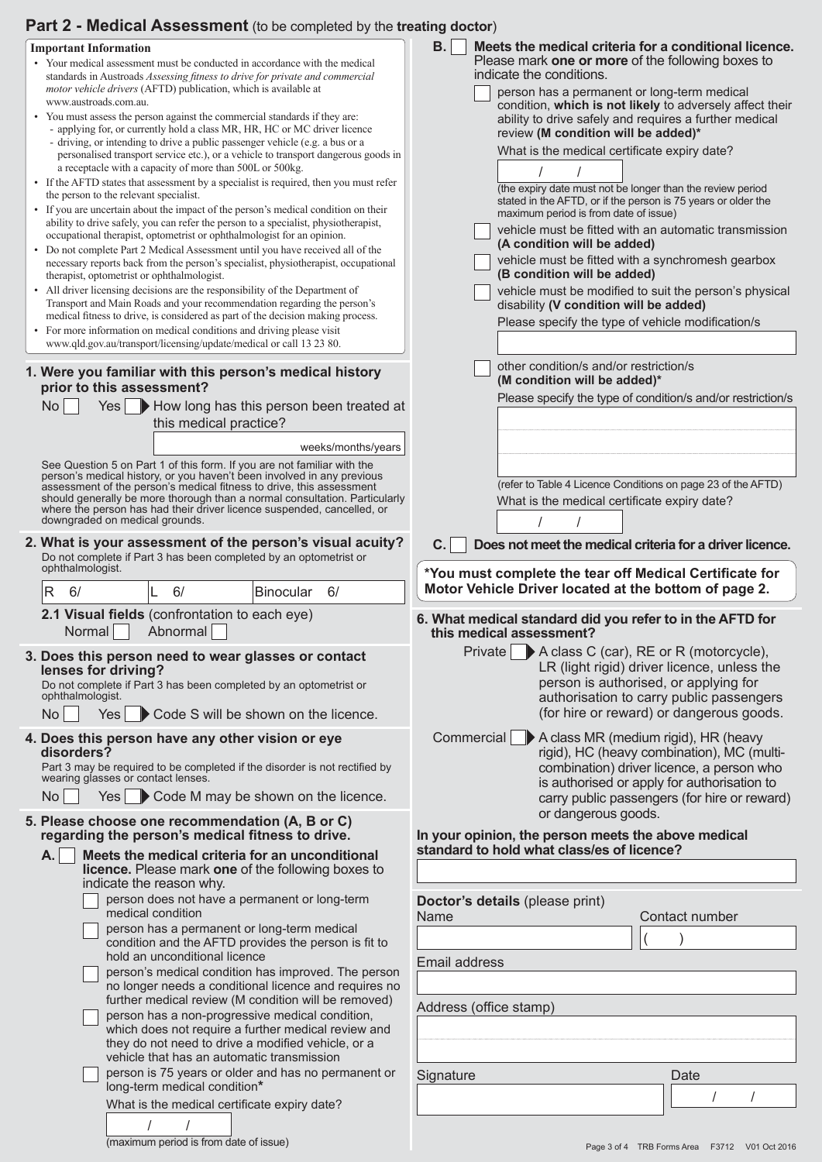### **Part 2 - Medical Assessment** (to be completed by the **treating doctor**)

|                                        | <b>Important Information</b>                                                                                                                                              | <b>B.</b><br>Meets the medical criteria for a conditional licence.                               |
|----------------------------------------|---------------------------------------------------------------------------------------------------------------------------------------------------------------------------|--------------------------------------------------------------------------------------------------|
|                                        | • Your medical assessment must be conducted in accordance with the medical<br>standards in Austroads Assessing fitness to drive for private and commercial                | Please mark one or more of the following boxes to<br>indicate the conditions.                    |
|                                        | motor vehicle drivers (AFTD) publication, which is available at                                                                                                           | person has a permanent or long-term medical                                                      |
|                                        | www.austroads.com.au.                                                                                                                                                     | condition, which is not likely to adversely affect their                                         |
|                                        | • You must assess the person against the commercial standards if they are:<br>- applying for, or currently hold a class MR, HR, HC or MC driver licence                   | ability to drive safely and requires a further medical<br>review (M condition will be added)*    |
|                                        | - driving, or intending to drive a public passenger vehicle (e.g. a bus or a                                                                                              | What is the medical certificate expiry date?                                                     |
|                                        | personalised transport service etc.), or a vehicle to transport dangerous goods in<br>a receptacle with a capacity of more than 500L or 500kg.                            |                                                                                                  |
|                                        | • If the AFTD states that assessment by a specialist is required, then you must refer                                                                                     | (the expiry date must not be longer than the review period                                       |
| the person to the relevant specialist. |                                                                                                                                                                           | stated in the AFTD, or if the person is 75 years or older the                                    |
|                                        | • If you are uncertain about the impact of the person's medical condition on their<br>ability to drive safely, you can refer the person to a specialist, physiotherapist, | maximum period is from date of issue)                                                            |
|                                        | occupational therapist, optometrist or ophthalmologist for an opinion.                                                                                                    | vehicle must be fitted with an automatic transmission<br>(A condition will be added)             |
|                                        | • Do not complete Part 2 Medical Assessment until you have received all of the<br>necessary reports back from the person's specialist, physiotherapist, occupational      | vehicle must be fitted with a synchromesh gearbox                                                |
|                                        | therapist, optometrist or ophthalmologist.                                                                                                                                | (B condition will be added)                                                                      |
|                                        | • All driver licensing decisions are the responsibility of the Department of<br>Transport and Main Roads and your recommendation regarding the person's                   | vehicle must be modified to suit the person's physical<br>disability (V condition will be added) |
|                                        | medical fitness to drive, is considered as part of the decision making process.                                                                                           | Please specify the type of vehicle modification/s                                                |
|                                        | • For more information on medical conditions and driving please visit                                                                                                     |                                                                                                  |
|                                        | www.qld.gov.au/transport/licensing/update/medical or call 13 23 80.                                                                                                       |                                                                                                  |
|                                        | 1. Were you familiar with this person's medical history                                                                                                                   | other condition/s and/or restriction/s<br>(M condition will be added)*                           |
|                                        | prior to this assessment?                                                                                                                                                 | Please specify the type of condition/s and/or restriction/s                                      |
|                                        | <b>No</b><br>Yes   How long has this person been treated at                                                                                                               |                                                                                                  |
|                                        | this medical practice?                                                                                                                                                    |                                                                                                  |
|                                        | weeks/months/years                                                                                                                                                        |                                                                                                  |
|                                        | See Question 5 on Part 1 of this form. If you are not familiar with the<br>person's medical history, or you haven't been involved in any previous                         |                                                                                                  |
|                                        | assessment of the person's medical fitness to drive, this assessment                                                                                                      | (refer to Table 4 Licence Conditions on page 23 of the AFTD)                                     |
|                                        | should generally be more thorough than a normal consultation. Particularly<br>where the person has had their driver licence suspended, cancelled, or                      | What is the medical certificate expiry date?                                                     |
|                                        | downgraded on medical grounds.                                                                                                                                            |                                                                                                  |
|                                        | 2. What is your assessment of the person's visual acuity?                                                                                                                 | C.<br>Does not meet the medical criteria for a driver licence.                                   |
|                                        | Do not complete if Part 3 has been completed by an optometrist or<br>ophthalmologist.                                                                                     | *You must complete the tear off Medical Certificate for                                          |
|                                        |                                                                                                                                                                           |                                                                                                  |
|                                        |                                                                                                                                                                           | Motor Vehicle Driver located at the bottom of page 2.                                            |
|                                        | R<br>6/<br>6/<br>Binocular<br>6/                                                                                                                                          |                                                                                                  |
|                                        | 2.1 Visual fields (confrontation to each eye)                                                                                                                             | 6. What medical standard did you refer to in the AFTD for                                        |
|                                        | Abnormal<br>Normal                                                                                                                                                        | this medical assessment?                                                                         |
|                                        | 3. Does this person need to wear glasses or contact                                                                                                                       | A class C (car), RE or R (motorcycle),<br>Private<br>LR (light rigid) driver licence, unless the |
|                                        | lenses for driving?<br>Do not complete if Part 3 has been completed by an optometrist or                                                                                  | person is authorised, or applying for                                                            |
|                                        | ophthalmologist.                                                                                                                                                          | authorisation to carry public passengers                                                         |
|                                        | <b>No</b><br>Yes <sub>l</sub><br>Code S will be shown on the licence.                                                                                                     | (for hire or reward) or dangerous goods.                                                         |
|                                        | 4. Does this person have any other vision or eye                                                                                                                          | Commercial ▶ A class MR (medium rigid), HR (heavy                                                |
|                                        | disorders?                                                                                                                                                                | rigid), HC (heavy combination), MC (multi-                                                       |
|                                        | Part 3 may be required to be completed if the disorder is not rectified by<br>wearing glasses or contact lenses.                                                          | combination) driver licence, a person who<br>is authorised or apply for authorisation to         |
|                                        | No<br>$Yes \rightarrow Code M$ may be shown on the licence.                                                                                                               | carry public passengers (for hire or reward)                                                     |
|                                        | 5. Please choose one recommendation (A, B or C)                                                                                                                           | or dangerous goods.                                                                              |
|                                        | regarding the person's medical fitness to drive.                                                                                                                          | In your opinion, the person meets the above medical                                              |
|                                        | Meets the medical criteria for an unconditional<br>А.                                                                                                                     | standard to hold what class/es of licence?                                                       |
|                                        | <b>licence.</b> Please mark one of the following boxes to                                                                                                                 |                                                                                                  |
|                                        | indicate the reason why.<br>person does not have a permanent or long-term                                                                                                 | Doctor's details (please print)                                                                  |
|                                        | medical condition                                                                                                                                                         | Contact number<br>Name                                                                           |
|                                        | person has a permanent or long-term medical                                                                                                                               |                                                                                                  |
|                                        | condition and the AFTD provides the person is fit to<br>hold an unconditional licence                                                                                     | Email address                                                                                    |
|                                        | person's medical condition has improved. The person                                                                                                                       |                                                                                                  |
|                                        | no longer needs a conditional licence and requires no<br>further medical review (M condition will be removed)                                                             |                                                                                                  |
|                                        | person has a non-progressive medical condition,                                                                                                                           | Address (office stamp)                                                                           |
|                                        | which does not require a further medical review and                                                                                                                       |                                                                                                  |
|                                        | they do not need to drive a modified vehicle, or a<br>vehicle that has an automatic transmission                                                                          |                                                                                                  |
|                                        | person is 75 years or older and has no permanent or                                                                                                                       | Signature<br>Date                                                                                |
|                                        | long-term medical condition*                                                                                                                                              |                                                                                                  |
|                                        | What is the medical certificate expiry date?                                                                                                                              |                                                                                                  |